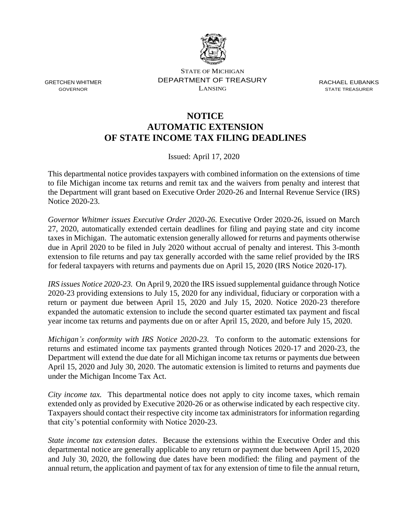

STATE OF MICHIGAN DEPARTMENT OF TREASURY LANSING

RACHAEL EUBANKS STATE TREASURER

## **NOTICE AUTOMATIC EXTENSION OF STATE INCOME TAX FILING DEADLINES**

Issued: April 17, 2020

This departmental notice provides taxpayers with combined information on the extensions of time to file Michigan income tax returns and remit tax and the waivers from penalty and interest that the Department will grant based on Executive Order 2020-26 and Internal Revenue Service (IRS) Notice 2020-23.

*Governor Whitmer issues Executive Order 2020-26*. Executive Order 2020-26, issued on March 27, 2020, automatically extended certain deadlines for filing and paying state and city income taxes in Michigan. The automatic extension generally allowed for returns and payments otherwise due in April 2020 to be filed in July 2020 without accrual of penalty and interest. This 3-month extension to file returns and pay tax generally accorded with the same relief provided by the IRS for federal taxpayers with returns and payments due on April 15, 2020 (IRS Notice 2020-17).

*IRS issues Notice 2020-23.* On April 9, 2020 the IRS issued supplemental guidance through Notice 2020-23 providing extensions to July 15, 2020 for any individual, fiduciary or corporation with a return or payment due between April 15, 2020 and July 15, 2020. Notice 2020-23 therefore expanded the automatic extension to include the second quarter estimated tax payment and fiscal year income tax returns and payments due on or after April 15, 2020, and before July 15, 2020.

*Michigan's conformity with IRS Notice 2020-23.* To conform to the automatic extensions for returns and estimated income tax payments granted through Notices 2020-17 and 2020-23, the Department will extend the due date for all Michigan income tax returns or payments due between April 15, 2020 and July 30, 2020. The automatic extension is limited to returns and payments due under the Michigan Income Tax Act.

*City income tax.* This departmental notice does not apply to city income taxes, which remain extended only as provided by Executive 2020-26 or as otherwise indicated by each respective city. Taxpayers should contact their respective city income tax administrators for information regarding that city's potential conformity with Notice 2020-23.

*State income tax extension dates*. Because the extensions within the Executive Order and this departmental notice are generally applicable to any return or payment due between April 15, 2020 and July 30, 2020, the following due dates have been modified: the filing and payment of the annual return, the application and payment of tax for any extension of time to file the annual return,

GRETCHEN WHITMER GOVERNOR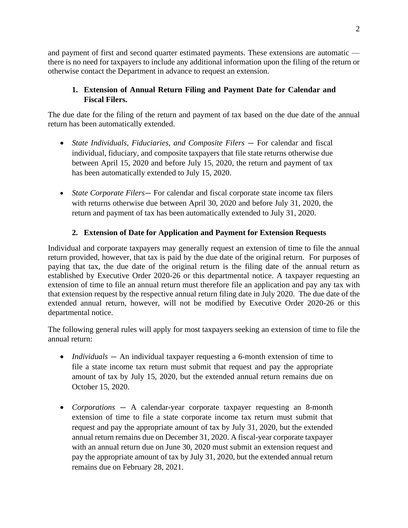and payment of first and second quarter estimated payments. These extensions are automatic there is no need for taxpayers to include any additional information upon the filing of the return or otherwise contact the Department in advance to request an extension.

## **1. Extension of Annual Return Filing and Payment Date for Calendar and Fiscal Filers.**

The due date for the filing of the return and payment of tax based on the due date of the annual return has been automatically extended.

- *State Individuals, Fiduciaries, and Composite Filers* For calendar and fiscal individual, fiduciary, and composite taxpayers that file state returns otherwise due between April 15, 2020 and before July 15, 2020, the return and payment of tax has been automatically extended to July 15, 2020.
- *State Corporate Filers* For calendar and fiscal corporate state income tax filers with returns otherwise due between April 30, 2020 and before July 31, 2020, the return and payment of tax has been automatically extended to July 31, 2020.

## **2. Extension of Date for Application and Payment for Extension Requests**

Individual and corporate taxpayers may generally request an extension of time to file the annual return provided, however, that tax is paid by the due date of the original return. For purposes of paying that tax, the due date of the original return is the filing date of the annual return as established by Executive Order 2020-26 or this departmental notice. A taxpayer requesting an extension of time to file an annual return must therefore file an application and pay any tax with that extension request by the respective annual return filing date in July 2020. The due date of the extended annual return, however, will not be modified by Executive Order 2020-26 or this departmental notice.

The following general rules will apply for most taxpayers seeking an extension of time to file the annual return:

- *Individuals* An individual taxpayer requesting a 6-month extension of time to file a state income tax return must submit that request and pay the appropriate amount of tax by July 15, 2020, but the extended annual return remains due on October 15, 2020.
- *Corporations* A calendar-year corporate taxpayer requesting an 8-month extension of time to file a state corporate income tax return must submit that request and pay the appropriate amount of tax by July 31, 2020, but the extended annual return remains due on December 31, 2020. A fiscal-year corporate taxpayer with an annual return due on June 30, 2020 must submit an extension request and pay the appropriate amount of tax by July 31, 2020, but the extended annual return remains due on February 28, 2021.